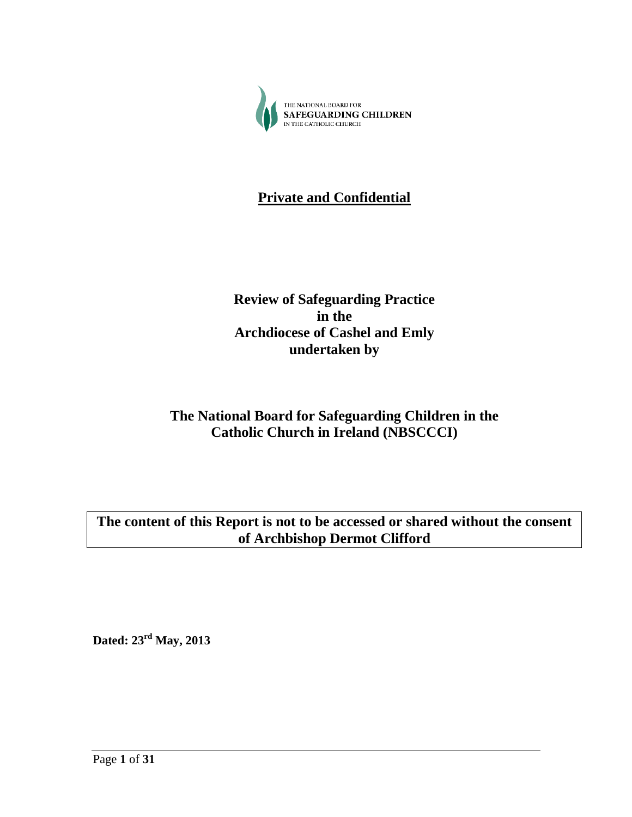

# **Private and Confidential**

# **Review of Safeguarding Practice in the Archdiocese of Cashel and Emly undertaken by**

# **The National Board for Safeguarding Children in the Catholic Church in Ireland (NBSCCCI)**

# **The content of this Report is not to be accessed or shared without the consent of Archbishop Dermot Clifford**

**Dated: 23rd May, 2013**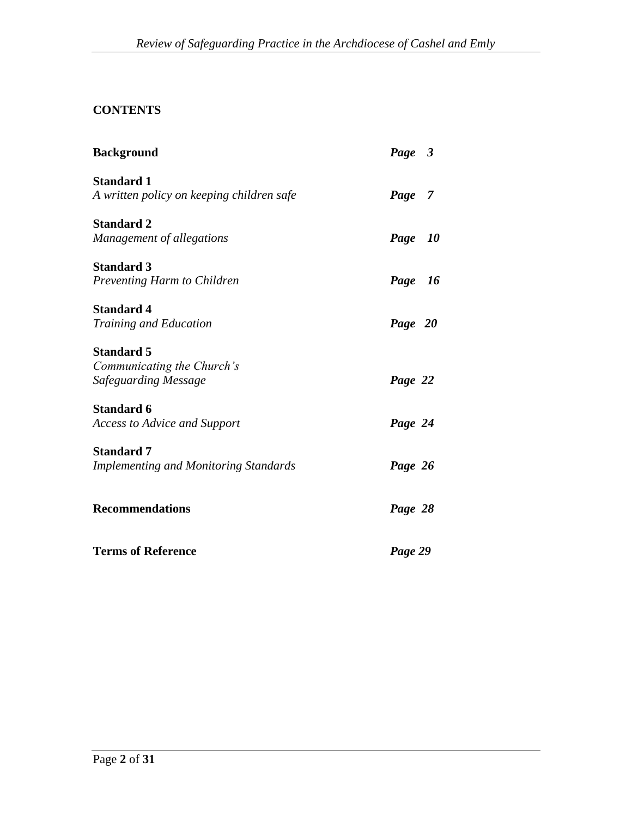# **CONTENTS**

| <b>Background</b>                            | Page 3  |
|----------------------------------------------|---------|
| <b>Standard 1</b>                            |         |
| A written policy on keeping children safe    | Page 7  |
| <b>Standard 2</b>                            |         |
| Management of allegations                    | Page 10 |
| <b>Standard 3</b>                            |         |
| Preventing Harm to Children                  | Page 16 |
| <b>Standard 4</b>                            |         |
| <b>Training and Education</b>                | Page 20 |
| <b>Standard 5</b>                            |         |
| Communicating the Church's                   |         |
| Safeguarding Message                         | Page 22 |
| <b>Standard 6</b>                            |         |
| <b>Access to Advice and Support</b>          | Page 24 |
| <b>Standard 7</b>                            |         |
| <b>Implementing and Monitoring Standards</b> | Page 26 |
|                                              |         |
| <b>Recommendations</b>                       | Page 28 |
| <b>Terms of Reference</b>                    | Page 29 |
|                                              |         |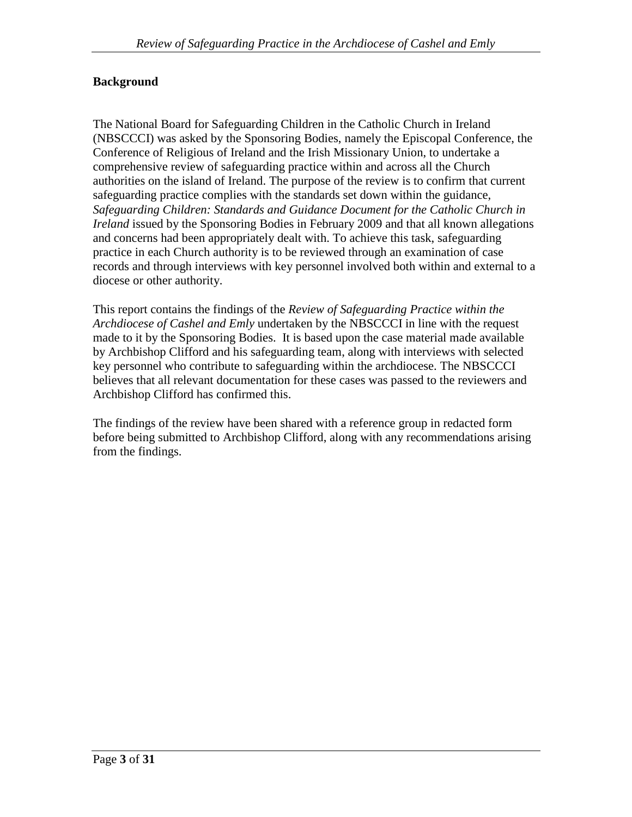#### **Background**

The National Board for Safeguarding Children in the Catholic Church in Ireland (NBSCCCI) was asked by the Sponsoring Bodies, namely the Episcopal Conference, the Conference of Religious of Ireland and the Irish Missionary Union, to undertake a comprehensive review of safeguarding practice within and across all the Church authorities on the island of Ireland. The purpose of the review is to confirm that current safeguarding practice complies with the standards set down within the guidance, *Safeguarding Children: Standards and Guidance Document for the Catholic Church in Ireland* issued by the Sponsoring Bodies in February 2009 and that all known allegations and concerns had been appropriately dealt with. To achieve this task, safeguarding practice in each Church authority is to be reviewed through an examination of case records and through interviews with key personnel involved both within and external to a diocese or other authority.

This report contains the findings of the *Review of Safeguarding Practice within the Archdiocese of Cashel and Emly* undertaken by the NBSCCCI in line with the request made to it by the Sponsoring Bodies. It is based upon the case material made available by Archbishop Clifford and his safeguarding team, along with interviews with selected key personnel who contribute to safeguarding within the archdiocese. The NBSCCCI believes that all relevant documentation for these cases was passed to the reviewers and Archbishop Clifford has confirmed this.

The findings of the review have been shared with a reference group in redacted form before being submitted to Archbishop Clifford, along with any recommendations arising from the findings.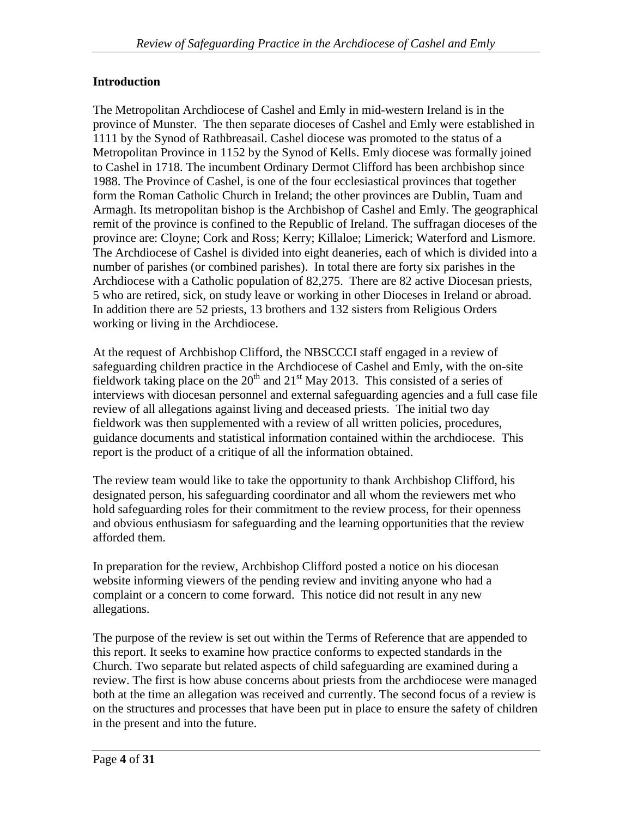# **Introduction**

The Metropolitan Archdiocese of Cashel and Emly in mid-western Ireland is in the province of Munster. The then separate dioceses of Cashel and Emly were established in 1111 by the Synod of Rathbreasail. Cashel diocese was promoted to the status of a Metropolitan Province in 1152 by the Synod of Kells. Emly diocese was formally joined to Cashel in 1718. The incumbent Ordinary Dermot Clifford has been archbishop since 1988. The Province of Cashel, is one of the four ecclesiastical provinces that together form the Roman Catholic Church in Ireland; the other provinces are Dublin, Tuam and Armagh. Its metropolitan bishop is the Archbishop of Cashel and Emly. The geographical remit of the province is confined to the Republic of Ireland. The suffragan dioceses of the province are: Cloyne; Cork and Ross; Kerry; Killaloe; Limerick; Waterford and Lismore. The Archdiocese of Cashel is divided into eight deaneries, each of which is divided into a number of parishes (or combined parishes). In total there are forty six parishes in the Archdiocese with a Catholic population of 82,275. There are 82 active Diocesan priests, 5 who are retired, sick, on study leave or working in other Dioceses in Ireland or abroad. In addition there are 52 priests, 13 brothers and 132 sisters from Religious Orders working or living in the Archdiocese.

At the request of Archbishop Clifford, the NBSCCCI staff engaged in a review of safeguarding children practice in the Archdiocese of Cashel and Emly, with the on-site fieldwork taking place on the  $20<sup>th</sup>$  and  $21<sup>st</sup>$  May 2013. This consisted of a series of interviews with diocesan personnel and external safeguarding agencies and a full case file review of all allegations against living and deceased priests. The initial two day fieldwork was then supplemented with a review of all written policies, procedures, guidance documents and statistical information contained within the archdiocese. This report is the product of a critique of all the information obtained.

The review team would like to take the opportunity to thank Archbishop Clifford, his designated person, his safeguarding coordinator and all whom the reviewers met who hold safeguarding roles for their commitment to the review process, for their openness and obvious enthusiasm for safeguarding and the learning opportunities that the review afforded them.

In preparation for the review, Archbishop Clifford posted a notice on his diocesan website informing viewers of the pending review and inviting anyone who had a complaint or a concern to come forward. This notice did not result in any new allegations.

The purpose of the review is set out within the Terms of Reference that are appended to this report. It seeks to examine how practice conforms to expected standards in the Church. Two separate but related aspects of child safeguarding are examined during a review. The first is how abuse concerns about priests from the archdiocese were managed both at the time an allegation was received and currently. The second focus of a review is on the structures and processes that have been put in place to ensure the safety of children in the present and into the future.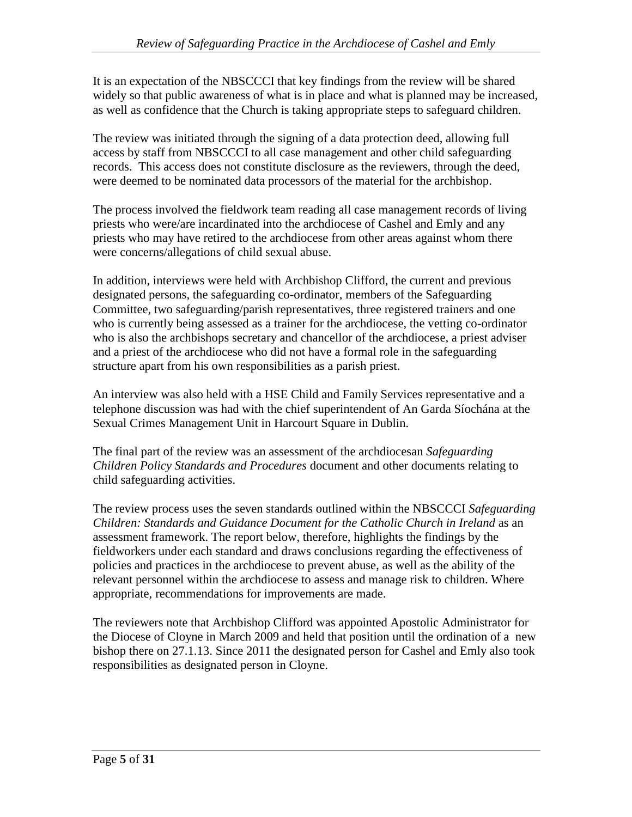It is an expectation of the NBSCCCI that key findings from the review will be shared widely so that public awareness of what is in place and what is planned may be increased, as well as confidence that the Church is taking appropriate steps to safeguard children.

The review was initiated through the signing of a data protection deed, allowing full access by staff from NBSCCCI to all case management and other child safeguarding records. This access does not constitute disclosure as the reviewers, through the deed, were deemed to be nominated data processors of the material for the archbishop.

The process involved the fieldwork team reading all case management records of living priests who were/are incardinated into the archdiocese of Cashel and Emly and any priests who may have retired to the archdiocese from other areas against whom there were concerns/allegations of child sexual abuse.

In addition, interviews were held with Archbishop Clifford, the current and previous designated persons, the safeguarding co-ordinator, members of the Safeguarding Committee, two safeguarding/parish representatives, three registered trainers and one who is currently being assessed as a trainer for the archdiocese, the vetting co-ordinator who is also the archbishops secretary and chancellor of the archdiocese, a priest adviser and a priest of the archdiocese who did not have a formal role in the safeguarding structure apart from his own responsibilities as a parish priest.

An interview was also held with a HSE Child and Family Services representative and a telephone discussion was had with the chief superintendent of An Garda Síochána at the Sexual Crimes Management Unit in Harcourt Square in Dublin.

The final part of the review was an assessment of the archdiocesan *Safeguarding Children Policy Standards and Procedures* document and other documents relating to child safeguarding activities.

The review process uses the seven standards outlined within the NBSCCCI *Safeguarding Children: Standards and Guidance Document for the Catholic Church in Ireland* as an assessment framework. The report below, therefore, highlights the findings by the fieldworkers under each standard and draws conclusions regarding the effectiveness of policies and practices in the archdiocese to prevent abuse, as well as the ability of the relevant personnel within the archdiocese to assess and manage risk to children. Where appropriate, recommendations for improvements are made.

The reviewers note that Archbishop Clifford was appointed Apostolic Administrator for the Diocese of Cloyne in March 2009 and held that position until the ordination of a new bishop there on 27.1.13. Since 2011 the designated person for Cashel and Emly also took responsibilities as designated person in Cloyne.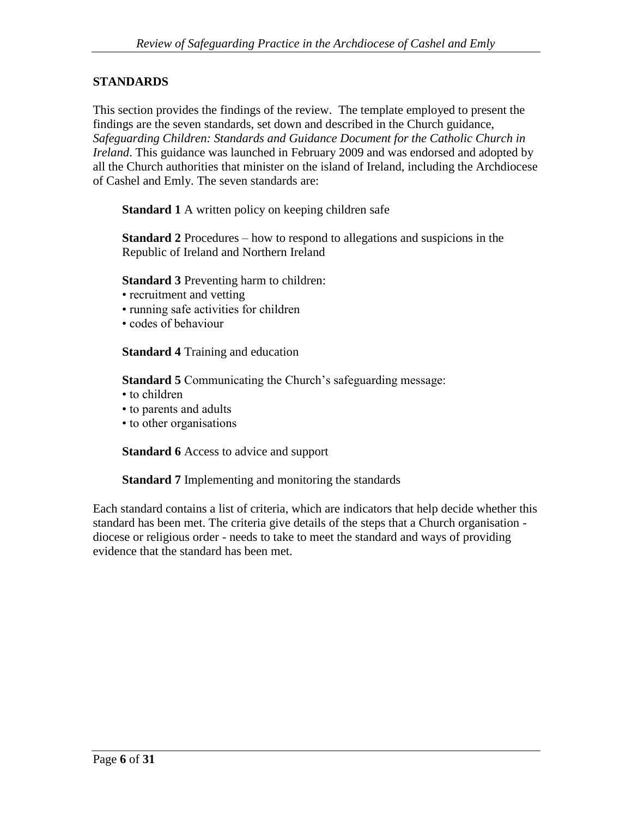## **STANDARDS**

This section provides the findings of the review. The template employed to present the findings are the seven standards, set down and described in the Church guidance, *Safeguarding Children: Standards and Guidance Document for the Catholic Church in Ireland*. This guidance was launched in February 2009 and was endorsed and adopted by all the Church authorities that minister on the island of Ireland, including the Archdiocese of Cashel and Emly. The seven standards are:

**Standard 1** A written policy on keeping children safe

**Standard 2** Procedures – how to respond to allegations and suspicions in the Republic of Ireland and Northern Ireland

**Standard 3** Preventing harm to children:

- recruitment and vetting
- running safe activities for children
- codes of behaviour

**Standard 4** Training and education

**Standard 5** Communicating the Church's safeguarding message:

- to children
- to parents and adults
- to other organisations

**Standard 6** Access to advice and support

**Standard 7** Implementing and monitoring the standards

Each standard contains a list of criteria, which are indicators that help decide whether this standard has been met. The criteria give details of the steps that a Church organisation diocese or religious order - needs to take to meet the standard and ways of providing evidence that the standard has been met.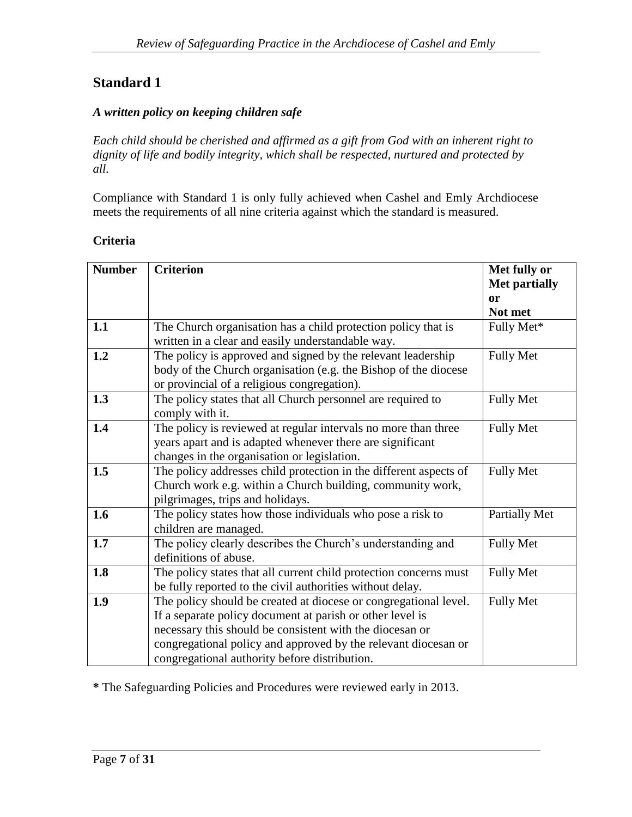## *A written policy on keeping children safe*

*Each child should be cherished and affirmed as a gift from God with an inherent right to dignity of life and bodily integrity, which shall be respected, nurtured and protected by all.*

Compliance with Standard 1 is only fully achieved when Cashel and Emly Archdiocese meets the requirements of all nine criteria against which the standard is measured.

#### **Criteria**

| <b>Number</b> | <b>Criterion</b>                                                                                                                                                                                                                                                                                             | Met fully or<br><b>Met partially</b> |
|---------------|--------------------------------------------------------------------------------------------------------------------------------------------------------------------------------------------------------------------------------------------------------------------------------------------------------------|--------------------------------------|
|               |                                                                                                                                                                                                                                                                                                              | or<br>Not met                        |
| 1.1           | The Church organisation has a child protection policy that is<br>written in a clear and easily understandable way.                                                                                                                                                                                           | Fully Met*                           |
| 1.2           | The policy is approved and signed by the relevant leadership<br>body of the Church organisation (e.g. the Bishop of the diocese<br>or provincial of a religious congregation).                                                                                                                               | <b>Fully Met</b>                     |
| 1.3           | The policy states that all Church personnel are required to<br>comply with it.                                                                                                                                                                                                                               | <b>Fully Met</b>                     |
| 1.4           | The policy is reviewed at regular intervals no more than three<br>years apart and is adapted whenever there are significant<br>changes in the organisation or legislation.                                                                                                                                   | <b>Fully Met</b>                     |
| 1.5           | The policy addresses child protection in the different aspects of<br>Church work e.g. within a Church building, community work,<br>pilgrimages, trips and holidays.                                                                                                                                          | <b>Fully Met</b>                     |
| 1.6           | The policy states how those individuals who pose a risk to<br>children are managed.                                                                                                                                                                                                                          | Partially Met                        |
| 1.7           | The policy clearly describes the Church's understanding and<br>definitions of abuse.                                                                                                                                                                                                                         | <b>Fully Met</b>                     |
| 1.8           | The policy states that all current child protection concerns must<br>be fully reported to the civil authorities without delay.                                                                                                                                                                               | <b>Fully Met</b>                     |
| 1.9           | The policy should be created at diocese or congregational level.<br>If a separate policy document at parish or other level is<br>necessary this should be consistent with the diocesan or<br>congregational policy and approved by the relevant diocesan or<br>congregational authority before distribution. | <b>Fully Met</b>                     |

**\*** The Safeguarding Policies and Procedures were reviewed early in 2013.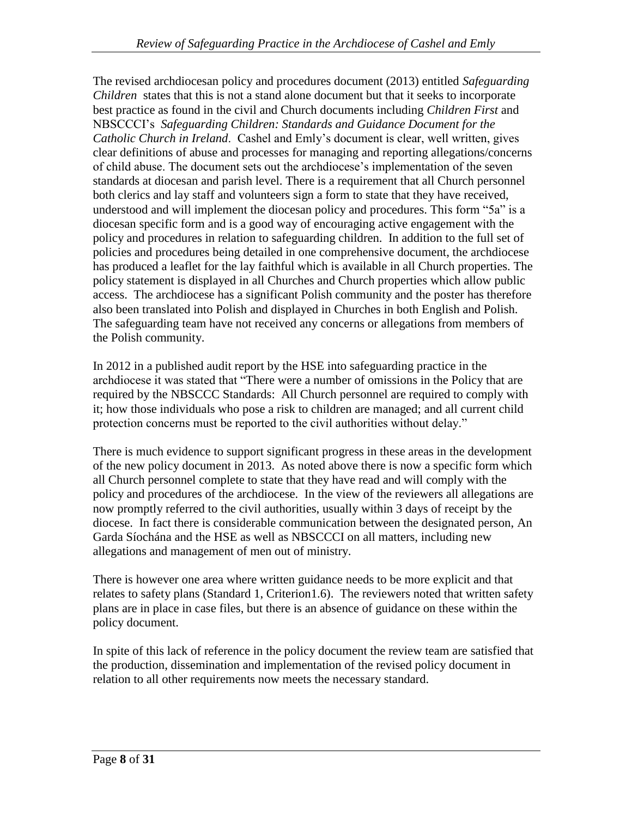The revised archdiocesan policy and procedures document (2013) entitled *Safeguarding Children* states that this is not a stand alone document but that it seeks to incorporate best practice as found in the civil and Church documents including *Children First* and NBSCCCI's *Safeguarding Children: Standards and Guidance Document for the Catholic Church in Ireland*. Cashel and Emly's document is clear, well written, gives clear definitions of abuse and processes for managing and reporting allegations/concerns of child abuse. The document sets out the archdiocese's implementation of the seven standards at diocesan and parish level. There is a requirement that all Church personnel both clerics and lay staff and volunteers sign a form to state that they have received, understood and will implement the diocesan policy and procedures. This form "5a" is a diocesan specific form and is a good way of encouraging active engagement with the policy and procedures in relation to safeguarding children. In addition to the full set of policies and procedures being detailed in one comprehensive document, the archdiocese has produced a leaflet for the lay faithful which is available in all Church properties. The policy statement is displayed in all Churches and Church properties which allow public access. The archdiocese has a significant Polish community and the poster has therefore also been translated into Polish and displayed in Churches in both English and Polish. The safeguarding team have not received any concerns or allegations from members of the Polish community.

In 2012 in a published audit report by the HSE into safeguarding practice in the archdiocese it was stated that "There were a number of omissions in the Policy that are required by the NBSCCC Standards: All Church personnel are required to comply with it; how those individuals who pose a risk to children are managed; and all current child protection concerns must be reported to the civil authorities without delay."

There is much evidence to support significant progress in these areas in the development of the new policy document in 2013. As noted above there is now a specific form which all Church personnel complete to state that they have read and will comply with the policy and procedures of the archdiocese. In the view of the reviewers all allegations are now promptly referred to the civil authorities, usually within 3 days of receipt by the diocese. In fact there is considerable communication between the designated person, An Garda Síochána and the HSE as well as NBSCCCI on all matters, including new allegations and management of men out of ministry.

There is however one area where written guidance needs to be more explicit and that relates to safety plans (Standard 1, Criterion1.6). The reviewers noted that written safety plans are in place in case files, but there is an absence of guidance on these within the policy document.

In spite of this lack of reference in the policy document the review team are satisfied that the production, dissemination and implementation of the revised policy document in relation to all other requirements now meets the necessary standard.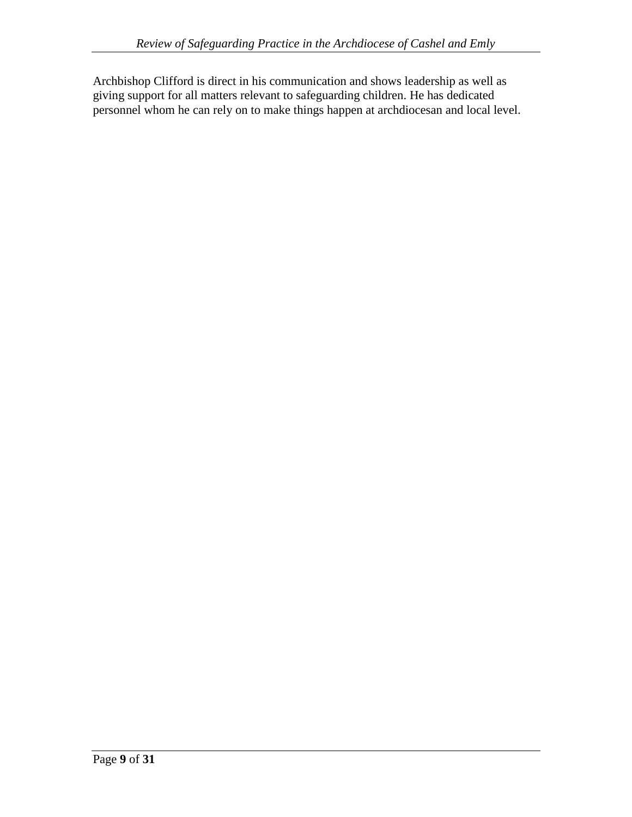Archbishop Clifford is direct in his communication and shows leadership as well as giving support for all matters relevant to safeguarding children. He has dedicated personnel whom he can rely on to make things happen at archdiocesan and local level.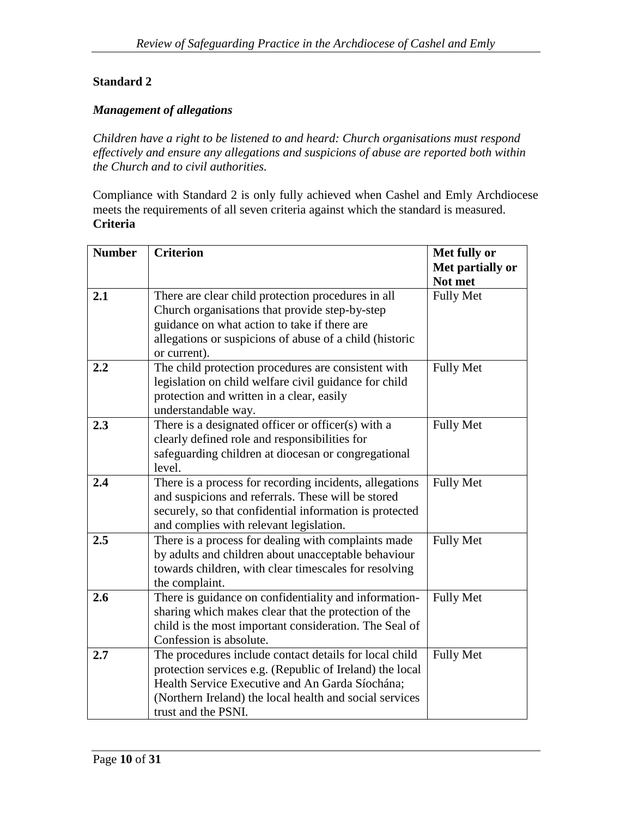## *Management of allegations*

*Children have a right to be listened to and heard: Church organisations must respond effectively and ensure any allegations and suspicions of abuse are reported both within the Church and to civil authorities.*

Compliance with Standard 2 is only fully achieved when Cashel and Emly Archdiocese meets the requirements of all seven criteria against which the standard is measured. **Criteria**

| <b>Number</b> | <b>Criterion</b>                                         | Met fully or     |
|---------------|----------------------------------------------------------|------------------|
|               |                                                          | Met partially or |
|               |                                                          | Not met          |
| 2.1           | There are clear child protection procedures in all       | <b>Fully Met</b> |
|               | Church organisations that provide step-by-step           |                  |
|               | guidance on what action to take if there are             |                  |
|               | allegations or suspicions of abuse of a child (historic  |                  |
|               | or current).                                             |                  |
| 2.2           | The child protection procedures are consistent with      | <b>Fully Met</b> |
|               | legislation on child welfare civil guidance for child    |                  |
|               | protection and written in a clear, easily                |                  |
|               | understandable way.                                      |                  |
| 2.3           | There is a designated officer or officer(s) with a       | <b>Fully Met</b> |
|               | clearly defined role and responsibilities for            |                  |
|               | safeguarding children at diocesan or congregational      |                  |
|               | level.                                                   |                  |
| 2.4           | There is a process for recording incidents, allegations  | <b>Fully Met</b> |
|               | and suspicions and referrals. These will be stored       |                  |
|               | securely, so that confidential information is protected  |                  |
|               | and complies with relevant legislation.                  |                  |
| 2.5           | There is a process for dealing with complaints made      | <b>Fully Met</b> |
|               | by adults and children about unacceptable behaviour      |                  |
|               | towards children, with clear timescales for resolving    |                  |
|               | the complaint.                                           |                  |
| 2.6           | There is guidance on confidentiality and information-    | <b>Fully Met</b> |
|               | sharing which makes clear that the protection of the     |                  |
|               | child is the most important consideration. The Seal of   |                  |
|               | Confession is absolute.                                  |                  |
| 2.7           | The procedures include contact details for local child   | <b>Fully Met</b> |
|               | protection services e.g. (Republic of Ireland) the local |                  |
|               | Health Service Executive and An Garda Síochána;          |                  |
|               | (Northern Ireland) the local health and social services  |                  |
|               | trust and the PSNI.                                      |                  |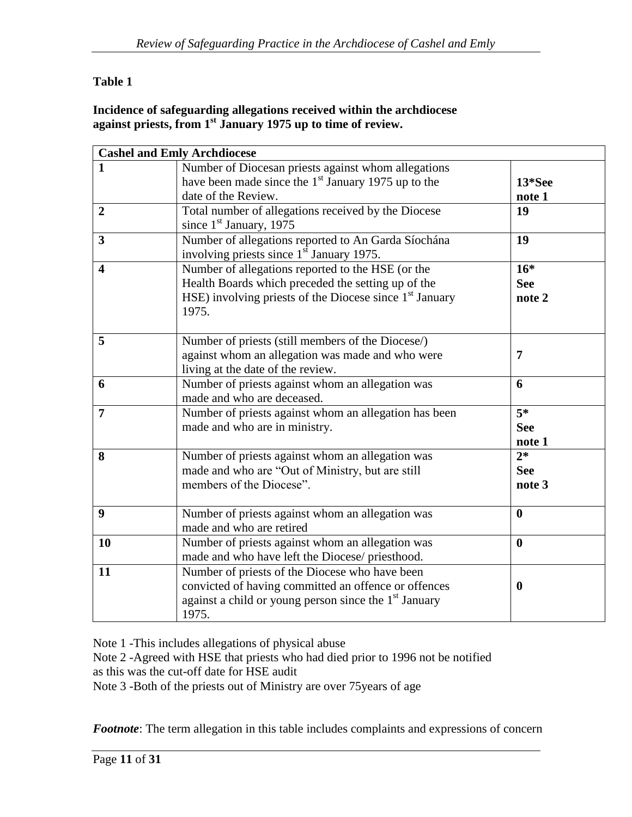## **Table 1**

## **Incidence of safeguarding allegations received within the archdiocese against priests, from 1st January 1975 up to time of review.**

|                         | <b>Cashel and Emly Archdiocese</b>                                |                  |
|-------------------------|-------------------------------------------------------------------|------------------|
| 1                       | Number of Diocesan priests against whom allegations               |                  |
|                         | have been made since the $1st$ January 1975 up to the             | 13*See           |
|                         | date of the Review.                                               | note 1           |
| $\overline{2}$          | Total number of allegations received by the Diocese               | 19               |
|                         | since $1st$ January, 1975                                         |                  |
| $\overline{3}$          | Number of allegations reported to An Garda Síochána               | 19               |
|                         | involving priests since 1 <sup>st</sup> January 1975.             |                  |
| $\overline{\mathbf{4}}$ | Number of allegations reported to the HSE (or the                 | $16*$            |
|                         | Health Boards which preceded the setting up of the                | <b>See</b>       |
|                         | HSE) involving priests of the Diocese since $1st$ January         | note 2           |
|                         | 1975.                                                             |                  |
|                         |                                                                   |                  |
| 5                       | Number of priests (still members of the Diocese/)                 |                  |
|                         | against whom an allegation was made and who were                  | $\overline{7}$   |
|                         | living at the date of the review.                                 |                  |
| 6                       | Number of priests against whom an allegation was                  | 6                |
|                         | made and who are deceased.                                        |                  |
| $\overline{7}$          | Number of priests against whom an allegation has been             | $\overline{5^*}$ |
|                         | made and who are in ministry.                                     | <b>See</b>       |
|                         |                                                                   | note 1           |
| 8                       | Number of priests against whom an allegation was                  | $2*$             |
|                         | made and who are "Out of Ministry, but are still                  | <b>See</b>       |
|                         | members of the Diocese".                                          | note 3           |
| 9                       | Number of priests against whom an allegation was                  | $\boldsymbol{0}$ |
|                         | made and who are retired                                          |                  |
| <b>10</b>               | Number of priests against whom an allegation was                  | $\bf{0}$         |
|                         | made and who have left the Diocese/ priesthood.                   |                  |
| 11                      | Number of priests of the Diocese who have been                    |                  |
|                         | convicted of having committed an offence or offences              | $\boldsymbol{0}$ |
|                         | against a child or young person since the 1 <sup>st</sup> January |                  |
|                         | 1975.                                                             |                  |

Note 1 -This includes allegations of physical abuse

Note 2 -Agreed with HSE that priests who had died prior to 1996 not be notified

as this was the cut-off date for HSE audit

Note 3 -Both of the priests out of Ministry are over 75years of age

*Footnote*: The term allegation in this table includes complaints and expressions of concern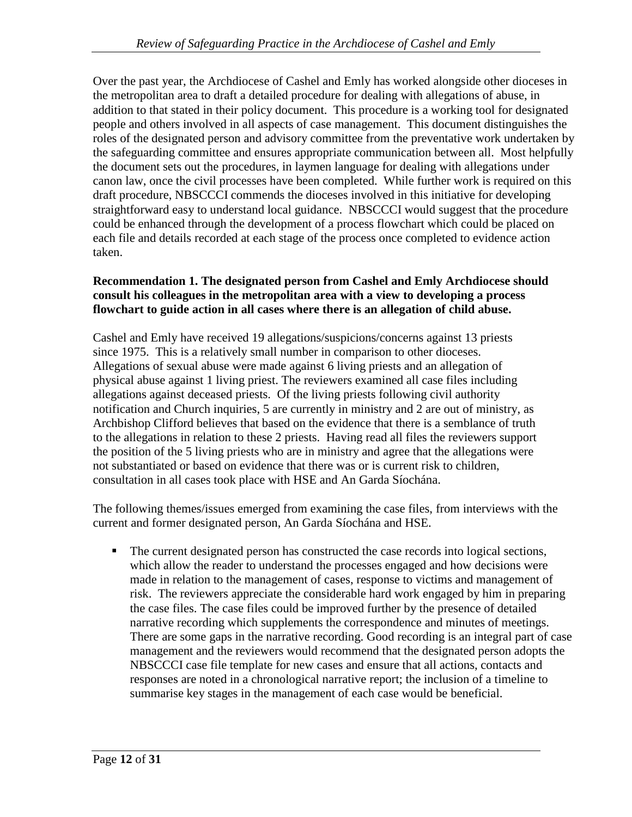Over the past year, the Archdiocese of Cashel and Emly has worked alongside other dioceses in the metropolitan area to draft a detailed procedure for dealing with allegations of abuse, in addition to that stated in their policy document. This procedure is a working tool for designated people and others involved in all aspects of case management. This document distinguishes the roles of the designated person and advisory committee from the preventative work undertaken by the safeguarding committee and ensures appropriate communication between all. Most helpfully the document sets out the procedures, in laymen language for dealing with allegations under canon law, once the civil processes have been completed. While further work is required on this draft procedure, NBSCCCI commends the dioceses involved in this initiative for developing straightforward easy to understand local guidance. NBSCCCI would suggest that the procedure could be enhanced through the development of a process flowchart which could be placed on each file and details recorded at each stage of the process once completed to evidence action taken.

## **Recommendation 1. The designated person from Cashel and Emly Archdiocese should consult his colleagues in the metropolitan area with a view to developing a process flowchart to guide action in all cases where there is an allegation of child abuse.**

Cashel and Emly have received 19 allegations/suspicions/concerns against 13 priests since 1975. This is a relatively small number in comparison to other dioceses. Allegations of sexual abuse were made against 6 living priests and an allegation of physical abuse against 1 living priest. The reviewers examined all case files including allegations against deceased priests. Of the living priests following civil authority notification and Church inquiries, 5 are currently in ministry and 2 are out of ministry, as Archbishop Clifford believes that based on the evidence that there is a semblance of truth to the allegations in relation to these 2 priests. Having read all files the reviewers support the position of the 5 living priests who are in ministry and agree that the allegations were not substantiated or based on evidence that there was or is current risk to children, consultation in all cases took place with HSE and An Garda Síochána.

The following themes/issues emerged from examining the case files, from interviews with the current and former designated person, An Garda Síochána and HSE.

 The current designated person has constructed the case records into logical sections, which allow the reader to understand the processes engaged and how decisions were made in relation to the management of cases, response to victims and management of risk. The reviewers appreciate the considerable hard work engaged by him in preparing the case files. The case files could be improved further by the presence of detailed narrative recording which supplements the correspondence and minutes of meetings. There are some gaps in the narrative recording. Good recording is an integral part of case management and the reviewers would recommend that the designated person adopts the NBSCCCI case file template for new cases and ensure that all actions, contacts and responses are noted in a chronological narrative report; the inclusion of a timeline to summarise key stages in the management of each case would be beneficial.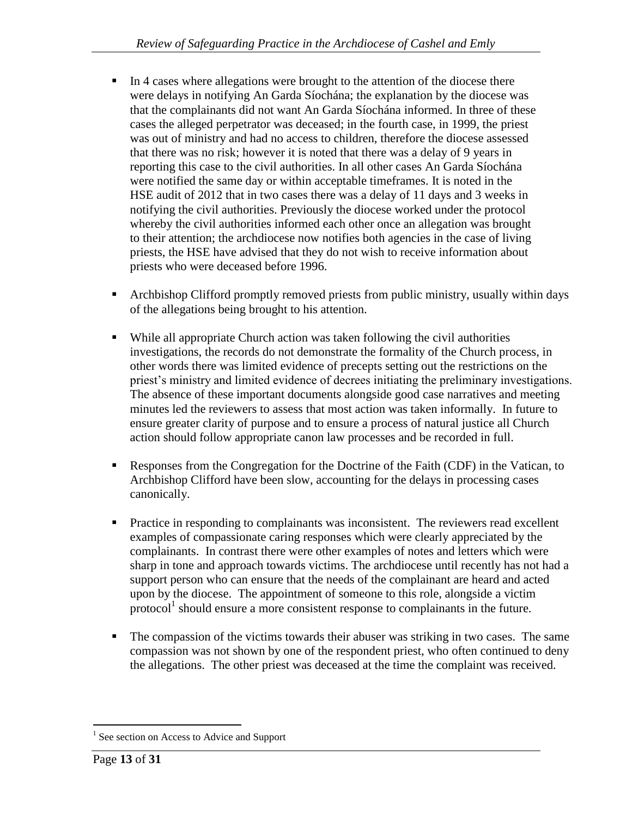- In 4 cases where allegations were brought to the attention of the diocese there were delays in notifying An Garda Síochána; the explanation by the diocese was that the complainants did not want An Garda Síochána informed. In three of these cases the alleged perpetrator was deceased; in the fourth case, in 1999, the priest was out of ministry and had no access to children, therefore the diocese assessed that there was no risk; however it is noted that there was a delay of 9 years in reporting this case to the civil authorities. In all other cases An Garda Síochána were notified the same day or within acceptable timeframes. It is noted in the HSE audit of 2012 that in two cases there was a delay of 11 days and 3 weeks in notifying the civil authorities. Previously the diocese worked under the protocol whereby the civil authorities informed each other once an allegation was brought to their attention; the archdiocese now notifies both agencies in the case of living priests, the HSE have advised that they do not wish to receive information about priests who were deceased before 1996.
- Archbishop Clifford promptly removed priests from public ministry, usually within days of the allegations being brought to his attention.
- While all appropriate Church action was taken following the civil authorities investigations, the records do not demonstrate the formality of the Church process, in other words there was limited evidence of precepts setting out the restrictions on the priest's ministry and limited evidence of decrees initiating the preliminary investigations. The absence of these important documents alongside good case narratives and meeting minutes led the reviewers to assess that most action was taken informally. In future to ensure greater clarity of purpose and to ensure a process of natural justice all Church action should follow appropriate canon law processes and be recorded in full.
- Responses from the Congregation for the Doctrine of the Faith (CDF) in the Vatican, to Archbishop Clifford have been slow, accounting for the delays in processing cases canonically.
- **Practice in responding to complainants was inconsistent.** The reviewers read excellent examples of compassionate caring responses which were clearly appreciated by the complainants. In contrast there were other examples of notes and letters which were sharp in tone and approach towards victims. The archdiocese until recently has not had a support person who can ensure that the needs of the complainant are heard and acted upon by the diocese. The appointment of someone to this role, alongside a victim protocol<sup>1</sup> should ensure a more consistent response to complainants in the future.
- The compassion of the victims towards their abuser was striking in two cases. The same compassion was not shown by one of the respondent priest, who often continued to deny the allegations. The other priest was deceased at the time the complaint was received.

 $\overline{a}$ 

<sup>&</sup>lt;sup>1</sup> See section on Access to Advice and Support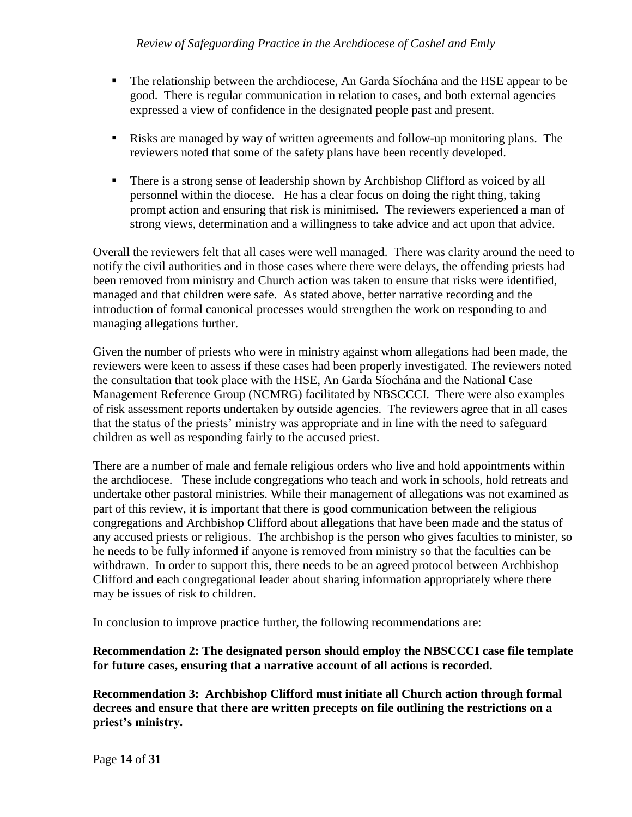- The relationship between the archdiocese, An Garda Síochána and the HSE appear to be good. There is regular communication in relation to cases, and both external agencies expressed a view of confidence in the designated people past and present.
- Risks are managed by way of written agreements and follow-up monitoring plans. The reviewers noted that some of the safety plans have been recently developed.
- There is a strong sense of leadership shown by Archbishop Clifford as voiced by all personnel within the diocese. He has a clear focus on doing the right thing, taking prompt action and ensuring that risk is minimised. The reviewers experienced a man of strong views, determination and a willingness to take advice and act upon that advice.

Overall the reviewers felt that all cases were well managed. There was clarity around the need to notify the civil authorities and in those cases where there were delays, the offending priests had been removed from ministry and Church action was taken to ensure that risks were identified, managed and that children were safe. As stated above, better narrative recording and the introduction of formal canonical processes would strengthen the work on responding to and managing allegations further.

Given the number of priests who were in ministry against whom allegations had been made, the reviewers were keen to assess if these cases had been properly investigated. The reviewers noted the consultation that took place with the HSE, An Garda Síochána and the National Case Management Reference Group (NCMRG) facilitated by NBSCCCI. There were also examples of risk assessment reports undertaken by outside agencies. The reviewers agree that in all cases that the status of the priests' ministry was appropriate and in line with the need to safeguard children as well as responding fairly to the accused priest.

There are a number of male and female religious orders who live and hold appointments within the archdiocese. These include congregations who teach and work in schools, hold retreats and undertake other pastoral ministries. While their management of allegations was not examined as part of this review, it is important that there is good communication between the religious congregations and Archbishop Clifford about allegations that have been made and the status of any accused priests or religious. The archbishop is the person who gives faculties to minister, so he needs to be fully informed if anyone is removed from ministry so that the faculties can be withdrawn. In order to support this, there needs to be an agreed protocol between Archbishop Clifford and each congregational leader about sharing information appropriately where there may be issues of risk to children.

In conclusion to improve practice further, the following recommendations are:

## **Recommendation 2: The designated person should employ the NBSCCCI case file template for future cases, ensuring that a narrative account of all actions is recorded.**

**Recommendation 3: Archbishop Clifford must initiate all Church action through formal decrees and ensure that there are written precepts on file outlining the restrictions on a priest's ministry.**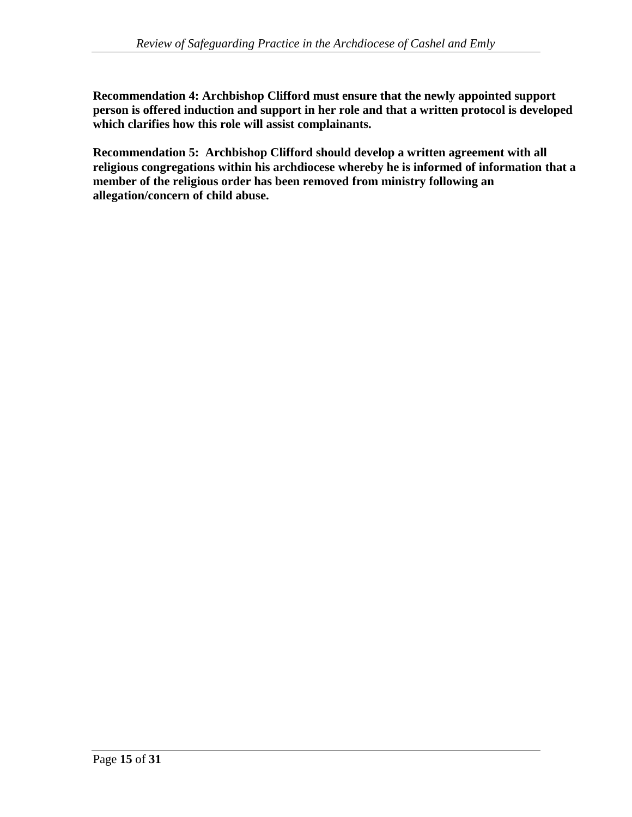**Recommendation 4: Archbishop Clifford must ensure that the newly appointed support person is offered induction and support in her role and that a written protocol is developed which clarifies how this role will assist complainants.**

**Recommendation 5: Archbishop Clifford should develop a written agreement with all religious congregations within his archdiocese whereby he is informed of information that a member of the religious order has been removed from ministry following an allegation/concern of child abuse.**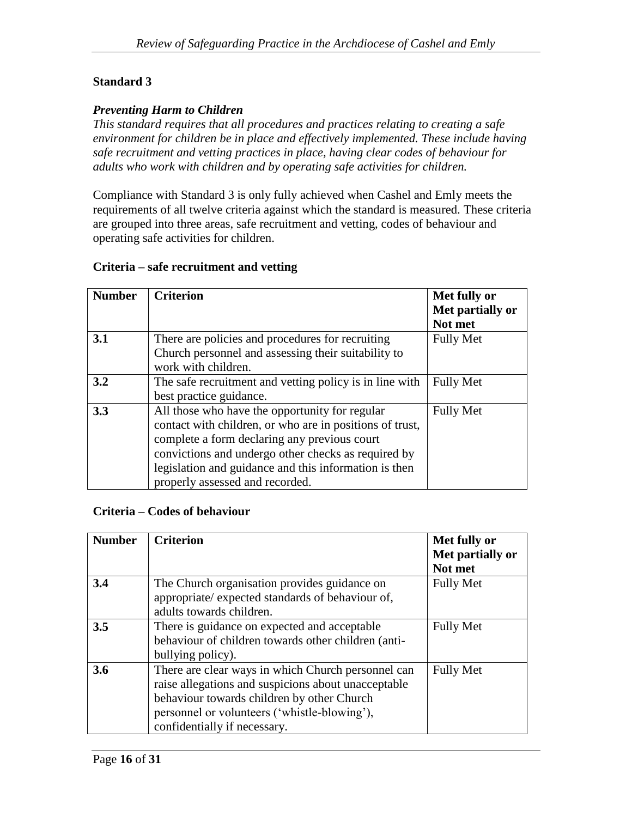## *Preventing Harm to Children*

*This standard requires that all procedures and practices relating to creating a safe environment for children be in place and effectively implemented. These include having safe recruitment and vetting practices in place, having clear codes of behaviour for adults who work with children and by operating safe activities for children.*

Compliance with Standard 3 is only fully achieved when Cashel and Emly meets the requirements of all twelve criteria against which the standard is measured. These criteria are grouped into three areas, safe recruitment and vetting, codes of behaviour and operating safe activities for children.

## **Criteria – safe recruitment and vetting**

| <b>Number</b> | <b>Criterion</b>                                                                                                                                                                                                                                                                                              | Met fully or<br>Met partially or<br>Not met |
|---------------|---------------------------------------------------------------------------------------------------------------------------------------------------------------------------------------------------------------------------------------------------------------------------------------------------------------|---------------------------------------------|
| 3.1           | There are policies and procedures for recruiting<br>Church personnel and assessing their suitability to<br>work with children.                                                                                                                                                                                | <b>Fully Met</b>                            |
| 3.2           | The safe recruitment and vetting policy is in line with<br>best practice guidance.                                                                                                                                                                                                                            | <b>Fully Met</b>                            |
| 3.3           | All those who have the opportunity for regular<br>contact with children, or who are in positions of trust,<br>complete a form declaring any previous court<br>convictions and undergo other checks as required by<br>legislation and guidance and this information is then<br>properly assessed and recorded. | <b>Fully Met</b>                            |

#### **Criteria – Codes of behaviour**

| <b>Number</b> | <b>Criterion</b>                                                                                                                                                                                                                        | Met fully or<br>Met partially or<br>Not met |
|---------------|-----------------------------------------------------------------------------------------------------------------------------------------------------------------------------------------------------------------------------------------|---------------------------------------------|
| 3.4           | The Church organisation provides guidance on<br>appropriate/expected standards of behaviour of,<br>adults towards children.                                                                                                             | <b>Fully Met</b>                            |
| 3.5           | There is guidance on expected and acceptable<br>behaviour of children towards other children (anti-<br>bullying policy).                                                                                                                | <b>Fully Met</b>                            |
| 3.6           | There are clear ways in which Church personnel can<br>raise allegations and suspicions about unacceptable<br>behaviour towards children by other Church<br>personnel or volunteers ('whistle-blowing'),<br>confidentially if necessary. | <b>Fully Met</b>                            |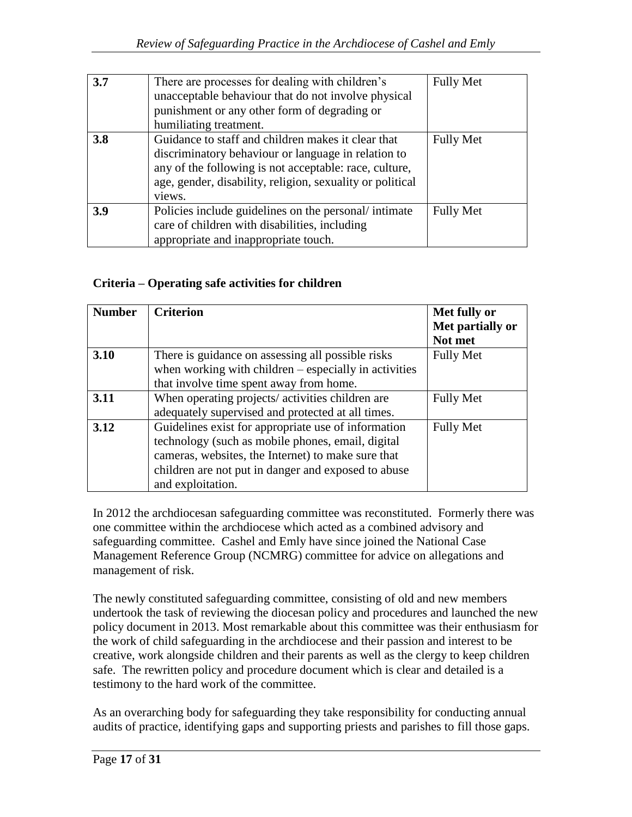| 3.7 | There are processes for dealing with children's<br>unacceptable behaviour that do not involve physical<br>punishment or any other form of degrading or<br>humiliating treatment.                                                           | <b>Fully Met</b> |
|-----|--------------------------------------------------------------------------------------------------------------------------------------------------------------------------------------------------------------------------------------------|------------------|
| 3.8 | Guidance to staff and children makes it clear that<br>discriminatory behaviour or language in relation to<br>any of the following is not acceptable: race, culture,<br>age, gender, disability, religion, sexuality or political<br>views. | <b>Fully Met</b> |
| 3.9 | Policies include guidelines on the personal/intimate<br>care of children with disabilities, including<br>appropriate and inappropriate touch.                                                                                              | <b>Fully Met</b> |

# **Criteria – Operating safe activities for children**

| <b>Number</b> | <b>Criterion</b>                                        | Met fully or     |
|---------------|---------------------------------------------------------|------------------|
|               |                                                         | Met partially or |
|               |                                                         | Not met          |
| 3.10          | There is guidance on assessing all possible risks       | <b>Fully Met</b> |
|               | when working with children $-$ especially in activities |                  |
|               | that involve time spent away from home.                 |                  |
| 3.11          | When operating projects/activities children are         | <b>Fully Met</b> |
|               | adequately supervised and protected at all times.       |                  |
| 3.12          | Guidelines exist for appropriate use of information     | <b>Fully Met</b> |
|               | technology (such as mobile phones, email, digital       |                  |
|               | cameras, websites, the Internet) to make sure that      |                  |
|               | children are not put in danger and exposed to abuse     |                  |
|               | and exploitation.                                       |                  |

In 2012 the archdiocesan safeguarding committee was reconstituted. Formerly there was one committee within the archdiocese which acted as a combined advisory and safeguarding committee. Cashel and Emly have since joined the National Case Management Reference Group (NCMRG) committee for advice on allegations and management of risk.

The newly constituted safeguarding committee, consisting of old and new members undertook the task of reviewing the diocesan policy and procedures and launched the new policy document in 2013. Most remarkable about this committee was their enthusiasm for the work of child safeguarding in the archdiocese and their passion and interest to be creative, work alongside children and their parents as well as the clergy to keep children safe. The rewritten policy and procedure document which is clear and detailed is a testimony to the hard work of the committee.

As an overarching body for safeguarding they take responsibility for conducting annual audits of practice, identifying gaps and supporting priests and parishes to fill those gaps.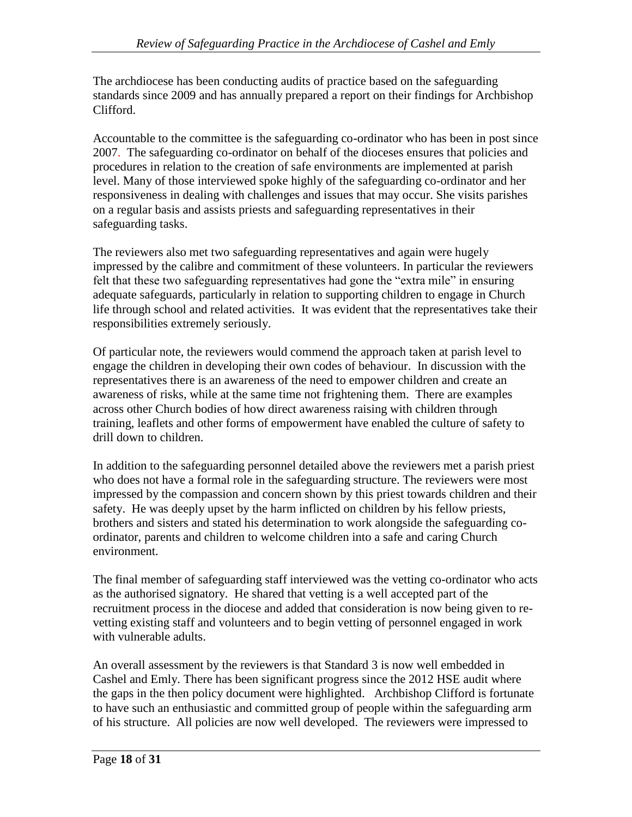The archdiocese has been conducting audits of practice based on the safeguarding standards since 2009 and has annually prepared a report on their findings for Archbishop Clifford.

Accountable to the committee is the safeguarding co-ordinator who has been in post since 2007. The safeguarding co-ordinator on behalf of the dioceses ensures that policies and procedures in relation to the creation of safe environments are implemented at parish level. Many of those interviewed spoke highly of the safeguarding co-ordinator and her responsiveness in dealing with challenges and issues that may occur. She visits parishes on a regular basis and assists priests and safeguarding representatives in their safeguarding tasks.

The reviewers also met two safeguarding representatives and again were hugely impressed by the calibre and commitment of these volunteers. In particular the reviewers felt that these two safeguarding representatives had gone the "extra mile" in ensuring adequate safeguards, particularly in relation to supporting children to engage in Church life through school and related activities. It was evident that the representatives take their responsibilities extremely seriously.

Of particular note, the reviewers would commend the approach taken at parish level to engage the children in developing their own codes of behaviour. In discussion with the representatives there is an awareness of the need to empower children and create an awareness of risks, while at the same time not frightening them. There are examples across other Church bodies of how direct awareness raising with children through training, leaflets and other forms of empowerment have enabled the culture of safety to drill down to children.

In addition to the safeguarding personnel detailed above the reviewers met a parish priest who does not have a formal role in the safeguarding structure. The reviewers were most impressed by the compassion and concern shown by this priest towards children and their safety. He was deeply upset by the harm inflicted on children by his fellow priests, brothers and sisters and stated his determination to work alongside the safeguarding coordinator, parents and children to welcome children into a safe and caring Church environment.

The final member of safeguarding staff interviewed was the vetting co-ordinator who acts as the authorised signatory. He shared that vetting is a well accepted part of the recruitment process in the diocese and added that consideration is now being given to revetting existing staff and volunteers and to begin vetting of personnel engaged in work with vulnerable adults.

An overall assessment by the reviewers is that Standard 3 is now well embedded in Cashel and Emly. There has been significant progress since the 2012 HSE audit where the gaps in the then policy document were highlighted. Archbishop Clifford is fortunate to have such an enthusiastic and committed group of people within the safeguarding arm of his structure. All policies are now well developed. The reviewers were impressed to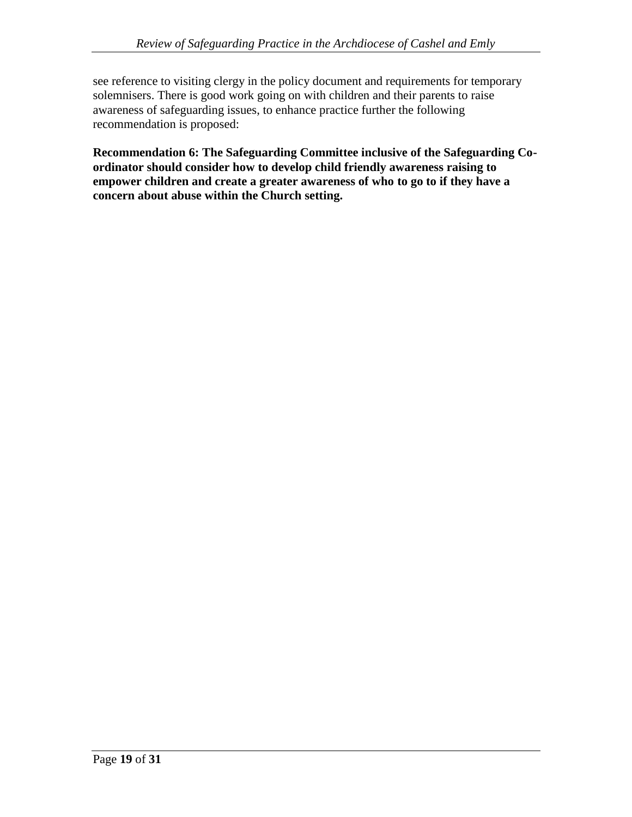see reference to visiting clergy in the policy document and requirements for temporary solemnisers. There is good work going on with children and their parents to raise awareness of safeguarding issues, to enhance practice further the following recommendation is proposed:

**Recommendation 6: The Safeguarding Committee inclusive of the Safeguarding Coordinator should consider how to develop child friendly awareness raising to empower children and create a greater awareness of who to go to if they have a concern about abuse within the Church setting.**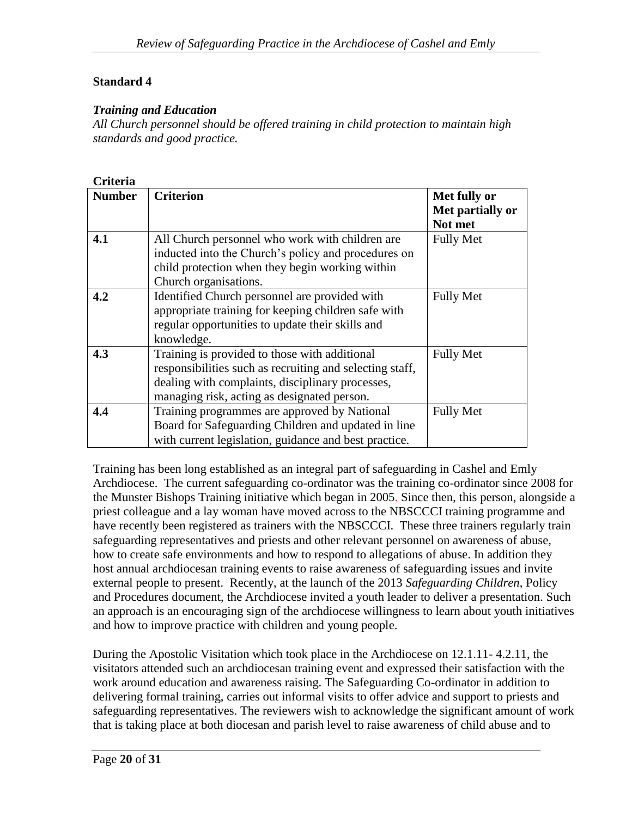#### *Training and Education*

*All Church personnel should be offered training in child protection to maintain high standards and good practice.*

## **Criteria**

| <b>Number</b> | <b>Criterion</b>                                         | Met fully or     |
|---------------|----------------------------------------------------------|------------------|
|               |                                                          | Met partially or |
|               |                                                          | Not met          |
| 4.1           | All Church personnel who work with children are          | <b>Fully Met</b> |
|               | inducted into the Church's policy and procedures on      |                  |
|               | child protection when they begin working within          |                  |
|               | Church organisations.                                    |                  |
| 4.2           | Identified Church personnel are provided with            | <b>Fully Met</b> |
|               | appropriate training for keeping children safe with      |                  |
|               | regular opportunities to update their skills and         |                  |
|               | knowledge.                                               |                  |
| 4.3           | Training is provided to those with additional            | <b>Fully Met</b> |
|               | responsibilities such as recruiting and selecting staff, |                  |
|               | dealing with complaints, disciplinary processes,         |                  |
|               | managing risk, acting as designated person.              |                  |
| 4.4           | Training programmes are approved by National             | <b>Fully Met</b> |
|               | Board for Safeguarding Children and updated in line      |                  |
|               | with current legislation, guidance and best practice.    |                  |

Training has been long established as an integral part of safeguarding in Cashel and Emly Archdiocese. The current safeguarding co-ordinator was the training co-ordinator since 2008 for the Munster Bishops Training initiative which began in 2005. Since then, this person, alongside a priest colleague and a lay woman have moved across to the NBSCCCI training programme and have recently been registered as trainers with the NBSCCCI. These three trainers regularly train safeguarding representatives and priests and other relevant personnel on awareness of abuse, how to create safe environments and how to respond to allegations of abuse. In addition they host annual archdiocesan training events to raise awareness of safeguarding issues and invite external people to present. Recently, at the launch of the 2013 *Safeguarding Children*, Policy and Procedures document, the Archdiocese invited a youth leader to deliver a presentation. Such an approach is an encouraging sign of the archdiocese willingness to learn about youth initiatives and how to improve practice with children and young people.

During the Apostolic Visitation which took place in the Archdiocese on 12.1.11- 4.2.11, the visitators attended such an archdiocesan training event and expressed their satisfaction with the work around education and awareness raising. The Safeguarding Co-ordinator in addition to delivering formal training, carries out informal visits to offer advice and support to priests and safeguarding representatives. The reviewers wish to acknowledge the significant amount of work that is taking place at both diocesan and parish level to raise awareness of child abuse and to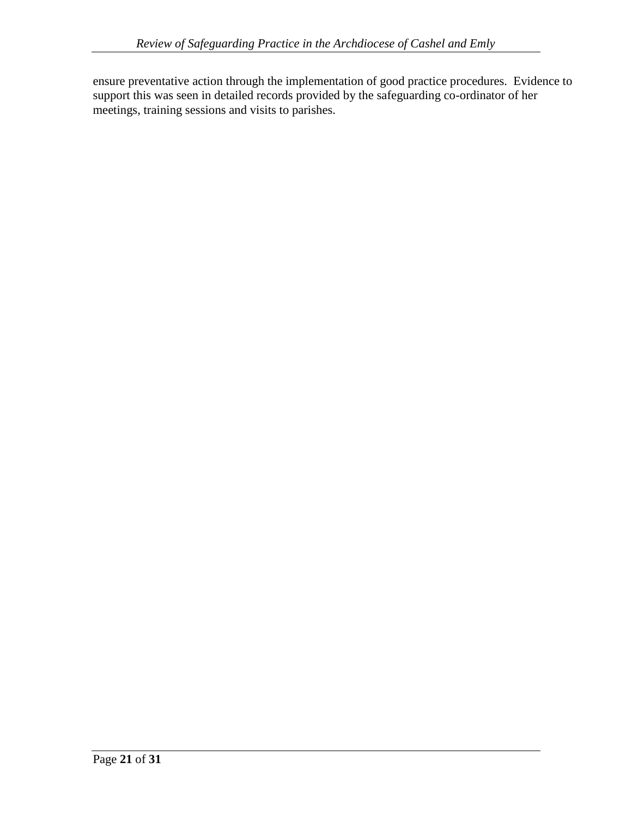ensure preventative action through the implementation of good practice procedures. Evidence to support this was seen in detailed records provided by the safeguarding co-ordinator of her meetings, training sessions and visits to parishes.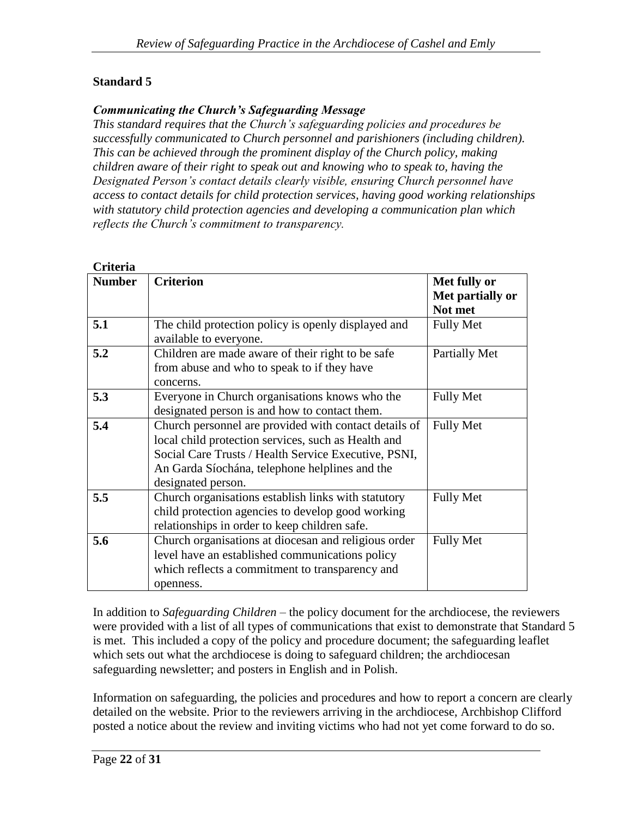#### *Communicating the Church's Safeguarding Message*

*This standard requires that the Church's safeguarding policies and procedures be successfully communicated to Church personnel and parishioners (including children). This can be achieved through the prominent display of the Church policy, making children aware of their right to speak out and knowing who to speak to, having the Designated Person's contact details clearly visible, ensuring Church personnel have access to contact details for child protection services, having good working relationships with statutory child protection agencies and developing a communication plan which reflects the Church's commitment to transparency.*

| Criteria      |                                                                                                                                                                                                                                              |                                             |
|---------------|----------------------------------------------------------------------------------------------------------------------------------------------------------------------------------------------------------------------------------------------|---------------------------------------------|
| <b>Number</b> | <b>Criterion</b>                                                                                                                                                                                                                             | Met fully or<br>Met partially or<br>Not met |
| 5.1           | The child protection policy is openly displayed and<br>available to everyone.                                                                                                                                                                | <b>Fully Met</b>                            |
| 5.2           | Children are made aware of their right to be safe<br>from abuse and who to speak to if they have<br>concerns.                                                                                                                                | Partially Met                               |
| 5.3           | Everyone in Church organisations knows who the<br>designated person is and how to contact them.                                                                                                                                              | <b>Fully Met</b>                            |
| 5.4           | Church personnel are provided with contact details of<br>local child protection services, such as Health and<br>Social Care Trusts / Health Service Executive, PSNI,<br>An Garda Síochána, telephone helplines and the<br>designated person. | <b>Fully Met</b>                            |
| 5.5           | Church organisations establish links with statutory<br>child protection agencies to develop good working<br>relationships in order to keep children safe.                                                                                    | <b>Fully Met</b>                            |
| 5.6           | Church organisations at diocesan and religious order<br>level have an established communications policy<br>which reflects a commitment to transparency and<br>openness.                                                                      | <b>Fully Met</b>                            |

In addition to *Safeguarding Children* – the policy document for the archdiocese, the reviewers were provided with a list of all types of communications that exist to demonstrate that Standard 5 is met. This included a copy of the policy and procedure document; the safeguarding leaflet which sets out what the archdiocese is doing to safeguard children; the archdiocesan safeguarding newsletter; and posters in English and in Polish.

Information on safeguarding, the policies and procedures and how to report a concern are clearly detailed on the website. Prior to the reviewers arriving in the archdiocese, Archbishop Clifford posted a notice about the review and inviting victims who had not yet come forward to do so.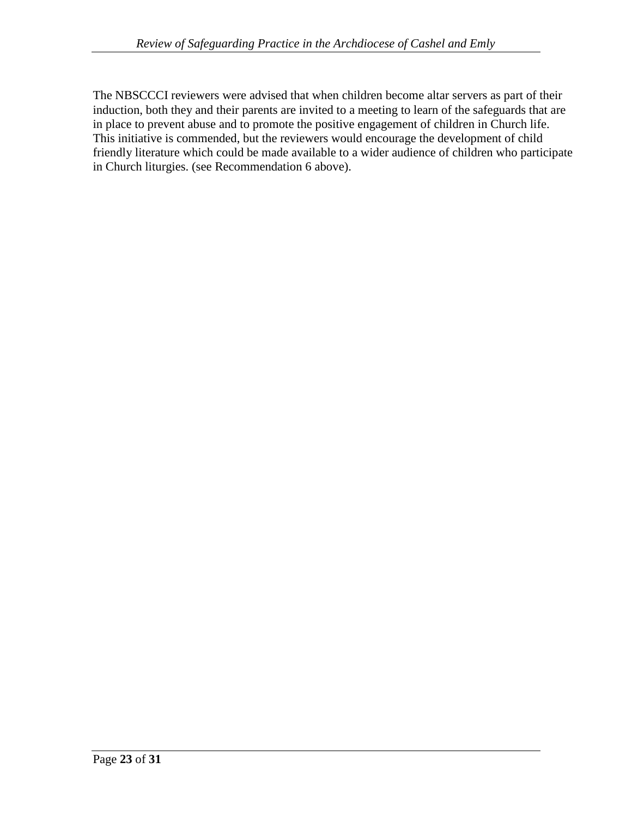The NBSCCCI reviewers were advised that when children become altar servers as part of their induction, both they and their parents are invited to a meeting to learn of the safeguards that are in place to prevent abuse and to promote the positive engagement of children in Church life. This initiative is commended, but the reviewers would encourage the development of child friendly literature which could be made available to a wider audience of children who participate in Church liturgies. (see Recommendation 6 above).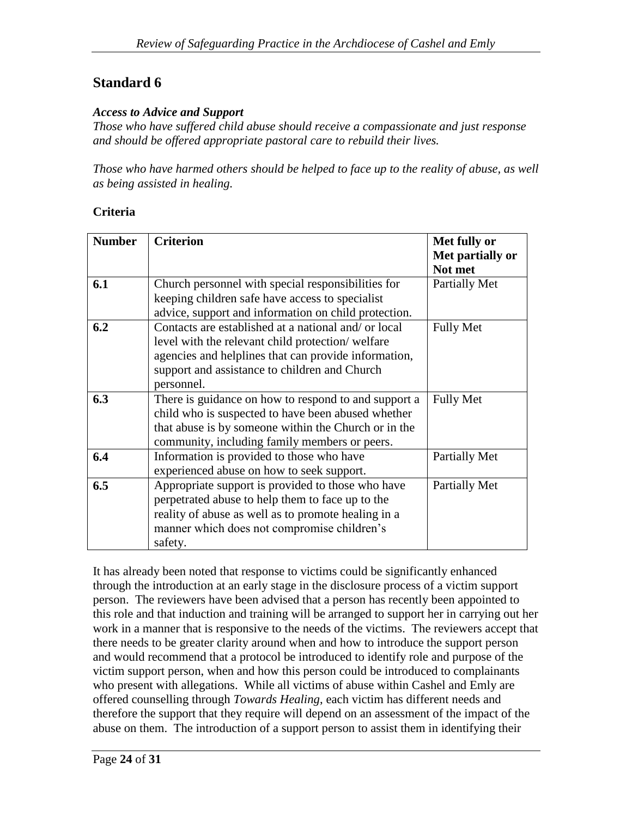#### *Access to Advice and Support*

*Those who have suffered child abuse should receive a compassionate and just response and should be offered appropriate pastoral care to rebuild their lives.*

*Those who have harmed others should be helped to face up to the reality of abuse, as well as being assisted in healing.*

#### **Criteria**

| <b>Number</b> | <b>Criterion</b>                                     | Met fully or                |
|---------------|------------------------------------------------------|-----------------------------|
|               |                                                      | Met partially or<br>Not met |
| 6.1           | Church personnel with special responsibilities for   | Partially Met               |
|               | keeping children safe have access to specialist      |                             |
|               | advice, support and information on child protection. |                             |
| 6.2           | Contacts are established at a national and/ or local | <b>Fully Met</b>            |
|               | level with the relevant child protection/welfare     |                             |
|               | agencies and helplines that can provide information, |                             |
|               | support and assistance to children and Church        |                             |
|               | personnel.                                           |                             |
| 6.3           | There is guidance on how to respond to and support a | <b>Fully Met</b>            |
|               | child who is suspected to have been abused whether   |                             |
|               | that abuse is by someone within the Church or in the |                             |
|               | community, including family members or peers.        |                             |
| 6.4           | Information is provided to those who have            | Partially Met               |
|               | experienced abuse on how to seek support.            |                             |
| 6.5           | Appropriate support is provided to those who have    | Partially Met               |
|               | perpetrated abuse to help them to face up to the     |                             |
|               | reality of abuse as well as to promote healing in a  |                             |
|               | manner which does not compromise children's          |                             |
|               | safety.                                              |                             |

It has already been noted that response to victims could be significantly enhanced through the introduction at an early stage in the disclosure process of a victim support person. The reviewers have been advised that a person has recently been appointed to this role and that induction and training will be arranged to support her in carrying out her work in a manner that is responsive to the needs of the victims. The reviewers accept that there needs to be greater clarity around when and how to introduce the support person and would recommend that a protocol be introduced to identify role and purpose of the victim support person, when and how this person could be introduced to complainants who present with allegations. While all victims of abuse within Cashel and Emly are offered counselling through *Towards Healing*, each victim has different needs and therefore the support that they require will depend on an assessment of the impact of the abuse on them. The introduction of a support person to assist them in identifying their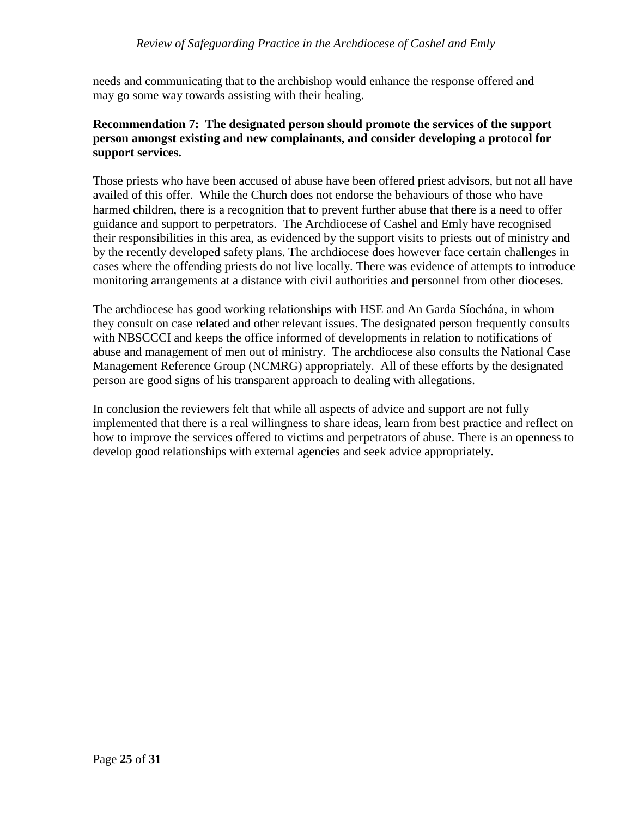needs and communicating that to the archbishop would enhance the response offered and may go some way towards assisting with their healing.

## **Recommendation 7: The designated person should promote the services of the support person amongst existing and new complainants, and consider developing a protocol for support services.**

Those priests who have been accused of abuse have been offered priest advisors, but not all have availed of this offer. While the Church does not endorse the behaviours of those who have harmed children, there is a recognition that to prevent further abuse that there is a need to offer guidance and support to perpetrators. The Archdiocese of Cashel and Emly have recognised their responsibilities in this area, as evidenced by the support visits to priests out of ministry and by the recently developed safety plans. The archdiocese does however face certain challenges in cases where the offending priests do not live locally. There was evidence of attempts to introduce monitoring arrangements at a distance with civil authorities and personnel from other dioceses.

The archdiocese has good working relationships with HSE and An Garda Síochána, in whom they consult on case related and other relevant issues. The designated person frequently consults with NBSCCCI and keeps the office informed of developments in relation to notifications of abuse and management of men out of ministry. The archdiocese also consults the National Case Management Reference Group (NCMRG) appropriately. All of these efforts by the designated person are good signs of his transparent approach to dealing with allegations.

In conclusion the reviewers felt that while all aspects of advice and support are not fully implemented that there is a real willingness to share ideas, learn from best practice and reflect on how to improve the services offered to victims and perpetrators of abuse. There is an openness to develop good relationships with external agencies and seek advice appropriately.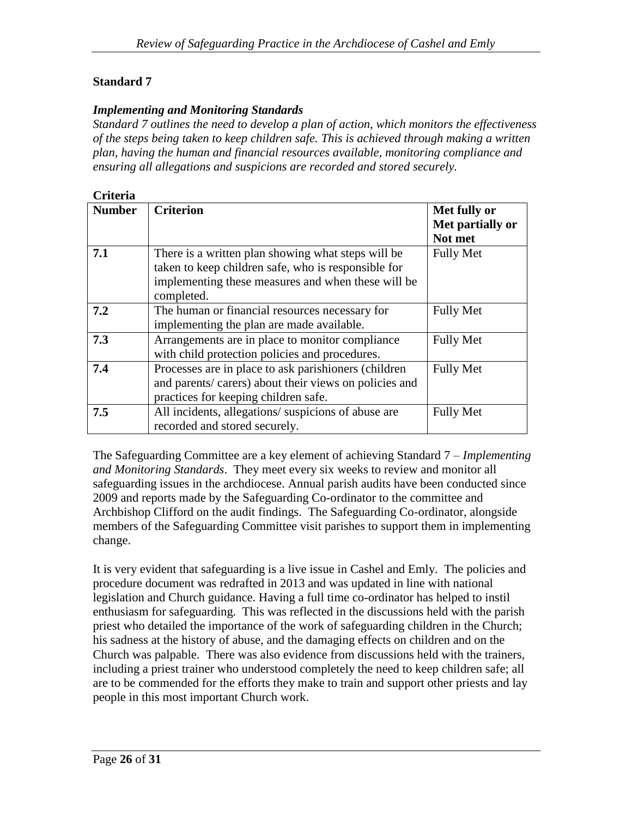#### *Implementing and Monitoring Standards*

*Standard 7 outlines the need to develop a plan of action, which monitors the effectiveness of the steps being taken to keep children safe. This is achieved through making a written plan, having the human and financial resources available, monitoring compliance and ensuring all allegations and suspicions are recorded and stored securely.*

| Criteria      |                                                                                                                                                                               |                                             |
|---------------|-------------------------------------------------------------------------------------------------------------------------------------------------------------------------------|---------------------------------------------|
| <b>Number</b> | <b>Criterion</b>                                                                                                                                                              | Met fully or<br>Met partially or<br>Not met |
| 7.1           | There is a written plan showing what steps will be<br>taken to keep children safe, who is responsible for<br>implementing these measures and when these will be<br>completed. | <b>Fully Met</b>                            |
| 7.2           | The human or financial resources necessary for<br>implementing the plan are made available.                                                                                   | <b>Fully Met</b>                            |
| 7.3           | Arrangements are in place to monitor compliance<br>with child protection policies and procedures.                                                                             | <b>Fully Met</b>                            |
| 7.4           | Processes are in place to ask parishioners (children<br>and parents/ carers) about their views on policies and<br>practices for keeping children safe.                        | <b>Fully Met</b>                            |
| 7.5           | All incidents, allegations/suspicions of abuse are<br>recorded and stored securely.                                                                                           | <b>Fully Met</b>                            |

The Safeguarding Committee are a key element of achieving Standard 7 – *Implementing and Monitoring Standards*. They meet every six weeks to review and monitor all safeguarding issues in the archdiocese. Annual parish audits have been conducted since 2009 and reports made by the Safeguarding Co-ordinator to the committee and Archbishop Clifford on the audit findings. The Safeguarding Co-ordinator, alongside members of the Safeguarding Committee visit parishes to support them in implementing change.

It is very evident that safeguarding is a live issue in Cashel and Emly. The policies and procedure document was redrafted in 2013 and was updated in line with national legislation and Church guidance. Having a full time co-ordinator has helped to instil enthusiasm for safeguarding. This was reflected in the discussions held with the parish priest who detailed the importance of the work of safeguarding children in the Church; his sadness at the history of abuse, and the damaging effects on children and on the Church was palpable. There was also evidence from discussions held with the trainers, including a priest trainer who understood completely the need to keep children safe; all are to be commended for the efforts they make to train and support other priests and lay people in this most important Church work.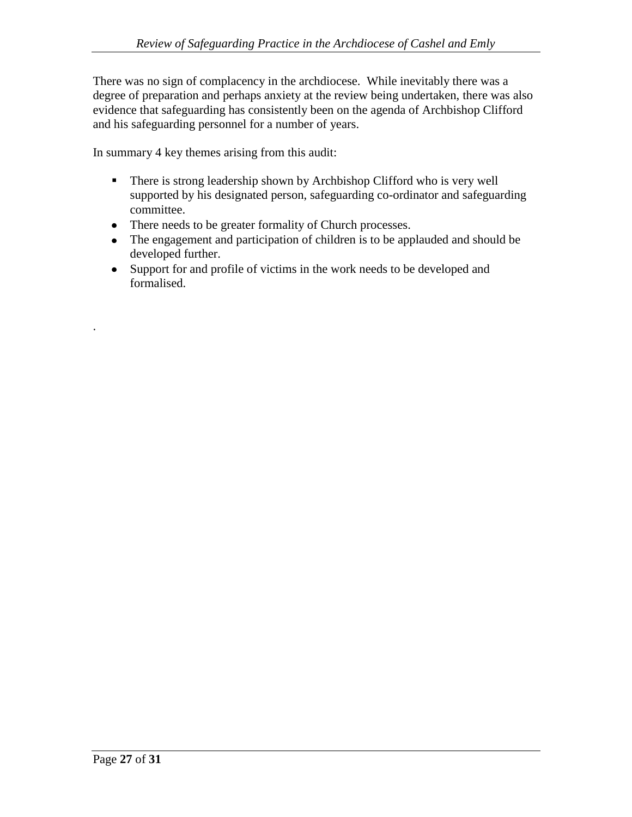There was no sign of complacency in the archdiocese. While inevitably there was a degree of preparation and perhaps anxiety at the review being undertaken, there was also evidence that safeguarding has consistently been on the agenda of Archbishop Clifford and his safeguarding personnel for a number of years.

In summary 4 key themes arising from this audit:

- There is strong leadership shown by Archbishop Clifford who is very well supported by his designated person, safeguarding co-ordinator and safeguarding committee.
- There needs to be greater formality of Church processes.
- The engagement and participation of children is to be applauded and should be developed further.
- Support for and profile of victims in the work needs to be developed and formalised.

.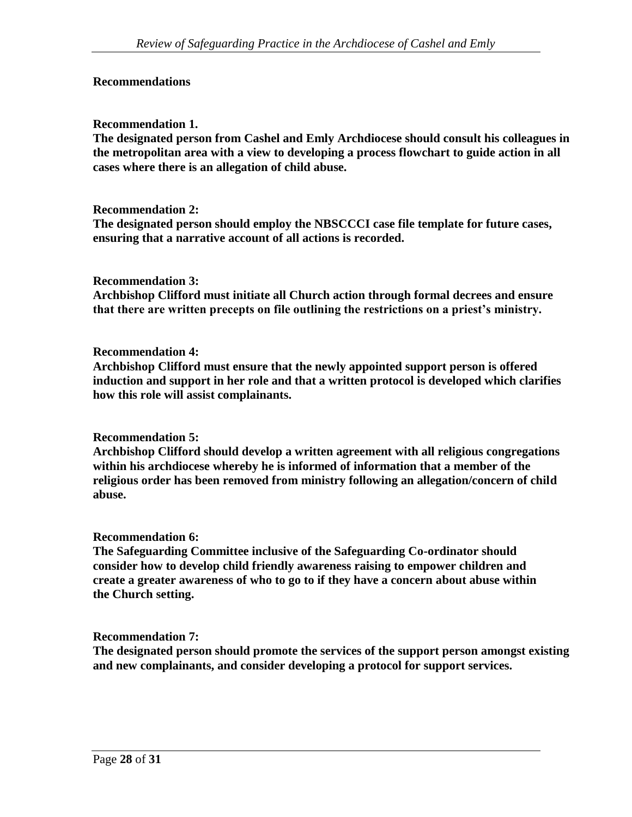#### **Recommendations**

#### **Recommendation 1.**

**The designated person from Cashel and Emly Archdiocese should consult his colleagues in the metropolitan area with a view to developing a process flowchart to guide action in all cases where there is an allegation of child abuse.** 

#### **Recommendation 2:**

**The designated person should employ the NBSCCCI case file template for future cases, ensuring that a narrative account of all actions is recorded.**

#### **Recommendation 3:**

**Archbishop Clifford must initiate all Church action through formal decrees and ensure that there are written precepts on file outlining the restrictions on a priest's ministry.**

#### **Recommendation 4:**

**Archbishop Clifford must ensure that the newly appointed support person is offered induction and support in her role and that a written protocol is developed which clarifies how this role will assist complainants.**

#### **Recommendation 5:**

**Archbishop Clifford should develop a written agreement with all religious congregations within his archdiocese whereby he is informed of information that a member of the religious order has been removed from ministry following an allegation/concern of child abuse.** 

#### **Recommendation 6:**

**The Safeguarding Committee inclusive of the Safeguarding Co-ordinator should consider how to develop child friendly awareness raising to empower children and create a greater awareness of who to go to if they have a concern about abuse within the Church setting.**

#### **Recommendation 7:**

**The designated person should promote the services of the support person amongst existing and new complainants, and consider developing a protocol for support services.**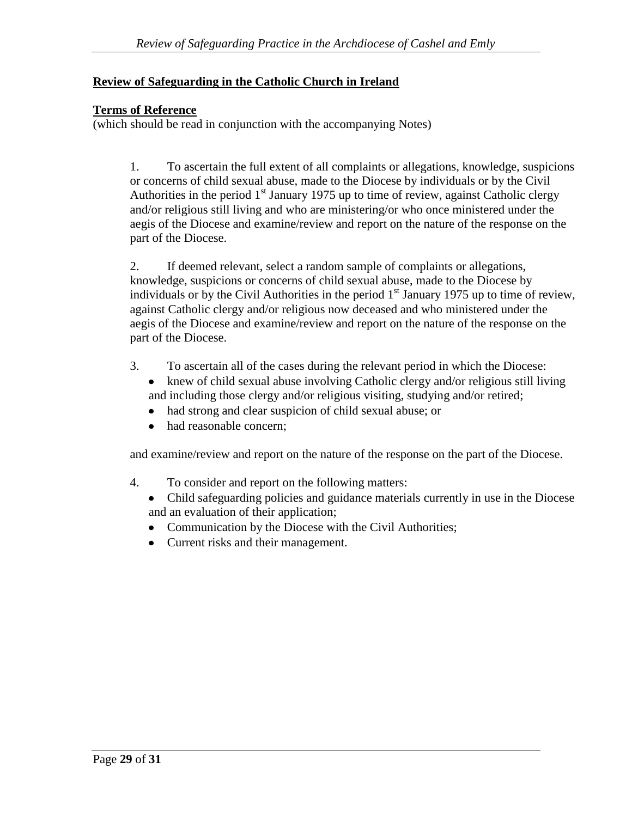## **Review of Safeguarding in the Catholic Church in Ireland**

## **Terms of Reference**

(which should be read in conjunction with the accompanying Notes)

1. To ascertain the full extent of all complaints or allegations, knowledge, suspicions or concerns of child sexual abuse, made to the Diocese by individuals or by the Civil Authorities in the period  $1<sup>st</sup>$  January 1975 up to time of review, against Catholic clergy and/or religious still living and who are ministering/or who once ministered under the aegis of the Diocese and examine/review and report on the nature of the response on the part of the Diocese.

2. If deemed relevant, select a random sample of complaints or allegations, knowledge, suspicions or concerns of child sexual abuse, made to the Diocese by individuals or by the Civil Authorities in the period  $1<sup>st</sup>$  January 1975 up to time of review, against Catholic clergy and/or religious now deceased and who ministered under the aegis of the Diocese and examine/review and report on the nature of the response on the part of the Diocese.

- 3. To ascertain all of the cases during the relevant period in which the Diocese:
	- knew of child sexual abuse involving Catholic clergy and/or religious still living and including those clergy and/or religious visiting, studying and/or retired;
	- $\bullet$ had strong and clear suspicion of child sexual abuse; or
	- had reasonable concern;  $\bullet$

and examine/review and report on the nature of the response on the part of the Diocese.

- 4. To consider and report on the following matters:
	- Child safeguarding policies and guidance materials currently in use in the Diocese and an evaluation of their application;
	- Communication by the Diocese with the Civil Authorities;
	- Current risks and their management.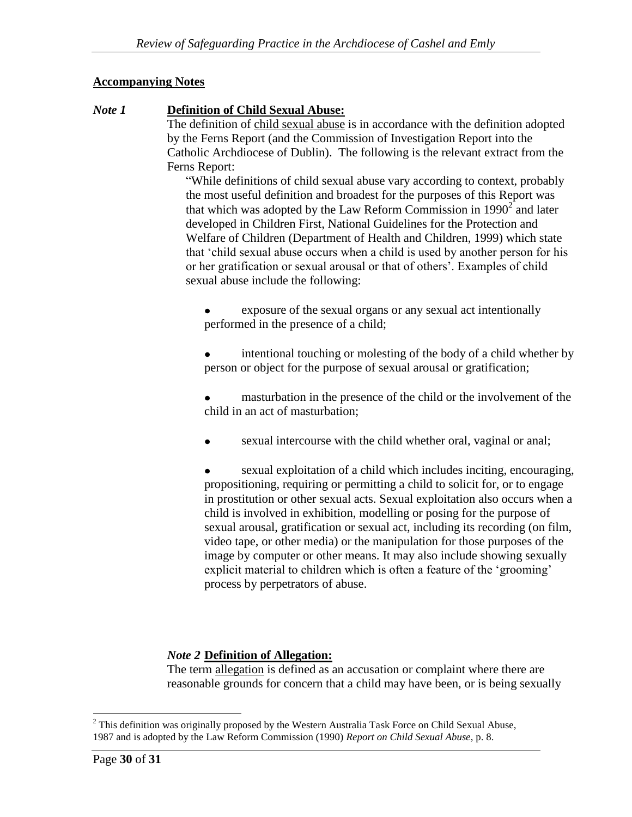## **Accompanying Notes**

## *Note 1* **Definition of Child Sexual Abuse:**

The definition of child sexual abuse is in accordance with the definition adopted by the Ferns Report (and the Commission of Investigation Report into the Catholic Archdiocese of Dublin). The following is the relevant extract from the Ferns Report:

"While definitions of child sexual abuse vary according to context, probably the most useful definition and broadest for the purposes of this Report was that which was adopted by the Law Reform Commission in  $1990<sup>2</sup>$  and later developed in Children First, National Guidelines for the Protection and Welfare of Children (Department of Health and Children, 1999) which state that 'child sexual abuse occurs when a child is used by another person for his or her gratification or sexual arousal or that of others'. Examples of child sexual abuse include the following:

exposure of the sexual organs or any sexual act intentionally  $\bullet$ performed in the presence of a child;

intentional touching or molesting of the body of a child whether by person or object for the purpose of sexual arousal or gratification;

masturbation in the presence of the child or the involvement of the child in an act of masturbation;

sexual intercourse with the child whether oral, vaginal or anal;

sexual exploitation of a child which includes inciting, encouraging, propositioning, requiring or permitting a child to solicit for, or to engage in prostitution or other sexual acts. Sexual exploitation also occurs when a child is involved in exhibition, modelling or posing for the purpose of sexual arousal, gratification or sexual act, including its recording (on film, video tape, or other media) or the manipulation for those purposes of the image by computer or other means. It may also include showing sexually explicit material to children which is often a feature of the 'grooming' process by perpetrators of abuse.

# *Note 2* **Definition of Allegation:**

The term allegation is defined as an accusation or complaint where there are reasonable grounds for concern that a child may have been, or is being sexually

 $\overline{a}$ 

<sup>&</sup>lt;sup>2</sup> This definition was originally proposed by the Western Australia Task Force on Child Sexual Abuse, 1987 and is adopted by the Law Reform Commission (1990) *Report on Child Sexual Abuse*, p. 8.